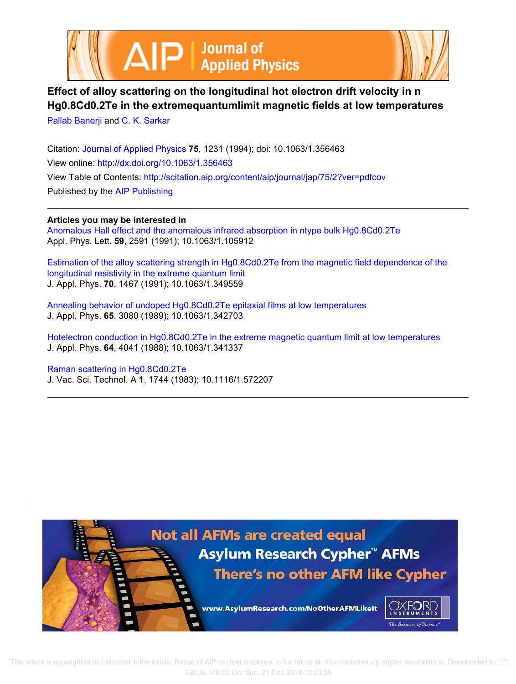



## **Effect of alloy scattering on the longitudinal hot electron drift velocity in n Hg0.8Cd0.2Te in the extremequantumlimit magnetic fields at low temperatures** Pallab Banerji and C. K. Sarkar

Citation: Journal of Applied Physics **75**, 1231 (1994); doi: 10.1063/1.356463 View online: http://dx.doi.org/10.1063/1.356463 View Table of Contents: http://scitation.aip.org/content/aip/journal/jap/75/2?ver=pdfcov Published by the AIP Publishing

## **Articles you may be interested in**

Anomalous Hall effect and the anomalous infrared absorption in ntype bulk Hg0.8Cd0.2Te Appl. Phys. Lett. **59**, 2591 (1991); 10.1063/1.105912

Estimation of the alloy scattering strength in Hg0.8Cd0.2Te from the magnetic field dependence of the longitudinal resistivity in the extreme quantum limit J. Appl. Phys. **70**, 1467 (1991); 10.1063/1.349559

Annealing behavior of undoped Hg0.8Cd0.2Te epitaxial films at low temperatures J. Appl. Phys. **65**, 3080 (1989); 10.1063/1.342703

Hotelectron conduction in Hg0.8Cd0.2Te in the extreme magnetic quantum limit at low temperatures J. Appl. Phys. **64**, 4041 (1988); 10.1063/1.341337

Raman scattering in Hg0.8Cd0.2Te J. Vac. Sci. Technol. A **1**, 1744 (1983); 10.1116/1.572207



 [This article is copyrighted as indicated in the article. Reuse of AIP content is subject to the terms at: http://scitation.aip.org/termsconditions. Downloaded to ] IP: 160.36.178.25 On: Sun, 21 Dec 2014 12:23:39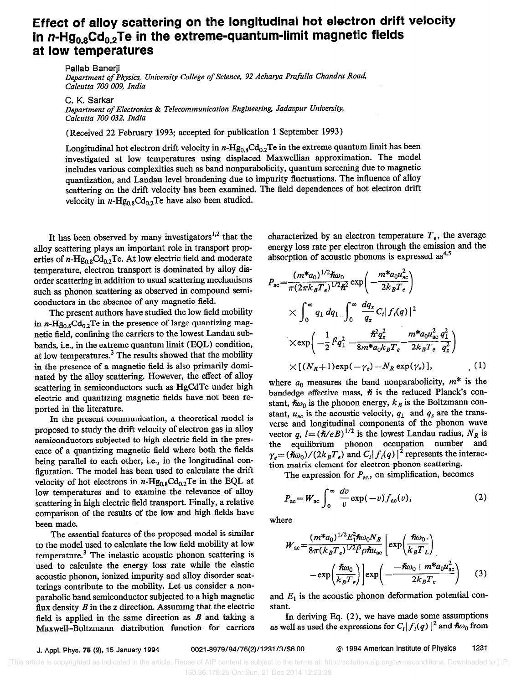## Effect of alloy scattering on the longitudinal hot electron drift velocity in  $n$ -Hg<sub>0.8</sub>Cd<sub>0.2</sub>Te in the extreme-quantum-limit magnetic fields at low temperatures

Pallab Banerji

Department of Physics, University College of Science, 92 Acharya Prafulla Chandra Road, Calcutta 700 009, India

C. K. Sarkar

Department of Electronics & Telecommunication Engineering, Jadavpur University, Calcutta 700 032, India

(Received 22 February 1993; accepted for publication 1 September 1993)

Longitudinal hot electron drift velocity in  $n-Hg_{0.8}Cd_{0.2}Te$  in the extreme quantum limit has been investigated at low temperatures using displaced Maxwellian approximation. The model includes various complexities such as band nonparabolicity, quantum screening due to magnetic quantization, and Landau level broadening due to impurity fluctuations. The influence of alloy scattering on the drift velocity has been examined. The field dependences of hot electron drift velocity in  $n-\text{Hg}_{0.8}\text{Cd}_{0.2}\text{Te}$  have also been studied.

It has been observed by many investigators<sup>1,2</sup> that the alloy scattering plays an important role in transport properties of  $n-\text{Hg}_{0.8}\text{Cd}_{0.2}\text{Te}$ . At low electric field and moderate temperature, electron transport is dominated by alloy disorder scattering in addition to usual scattering mechanisms such as phonon scattering as observed in compound semiconductors in the absence of any magnetic field.

The present authors have studied the low field mobility in n-Hg<sub>0.8</sub>Cd<sub>0.2</sub>Te in the presence of large quantizing magnetic field, confining the carriers to the lowest Landau subbands, i.e., in the extreme quantum limit (EQL) condition, at low temperatures.<sup>3</sup> The results showed that the mobility in the presence of a magnetic field is also primarily dominated by the alloy scattering. However, the effect of alloy scattering in semiconductors such as HgCdTe under high electric and quantizing magnetic fields have not been reported in the literature.

In the present communication, a theoretical model is proposed to study the drift velocity of electron gas in alloy semiconductors subjected to high electric field in the presence of a quantizing magnetic field where both the fields being parallel to each other, i.e., in the longitudinal configuration. The model has been used to calculate the drift velocity of hot electrons in  $n$ -Hg<sub>0.8</sub>Cd<sub>0.2</sub>Te in the EQL at low temperatures and to examine the relevance of alloy scattering in high electric field transport. Finally, a relative comparison of the results of the low and high fields have been made.

The essential features of the proposed model is similar to the model used to calculate the low field mobility at low temperature.3 The inelastic acoustic phonon scattering is used to calculate the energy loss rate while the elastic acoustic phonon, ionized impurity and alloy disorder scatterings contribute to the mobility. Let us consider a nonparabolic band semiconductor subjected to a high magnetic flux density  $B$  in the z direction. Assuming that the electric field is applied in the same direction as  $B$  and taking a Maxwell-Boltzmann distribution function for carriers characterized by an electron temperature  $T_e$ , the average energy loss rate per electron through the emission and the absorption of acoustic phonons is expressed  $\text{as}^{4,5}$ 

$$
P_{ac} = \frac{(m^* a_0)^{1/2} \hbar \omega_0}{\pi (2\pi k_B T_e)^{1/2} \hbar^2} \exp\left(-\frac{m^* a_0 u_{ac}^2}{2 k_B T_e}\right)
$$
  
 
$$
\times \int_0^\infty q_1 dq_1 \int_0^\infty \frac{dq_z}{q_z} C_i |f_i(q)|^2
$$
  
 
$$
\times \exp\left(-\frac{1}{2}l^2 q_\perp^2 - \frac{\hbar^2 q_z^2}{8m^* a_0 k_B T_e} - \frac{m^* a_0 u_{ac}^2 q_\perp^2}{2 k_B T_e} \frac{q_z^2}{q_z^2}\right)
$$
  
 
$$
\times [(N_R + 1) \exp(-\gamma_e) - N_R \exp(\gamma_e)], \qquad (1)
$$

where  $a_0$  measures the band nonparabolicity,  $m^*$  is the bandedge effective mass,  $\hbar$  is the reduced Planck's constant,  $\hbar \omega_0$  is the phonon energy,  $k_B$  is the Boltzmann constant,  $u_{ac}$  is the acoustic velocity,  $q_{\perp}$  and  $q_{z}$  are the transverse and longitudinal components of the phonon wave vector q,  $l = (\hbar / eB)^{1/2}$  is the lowest Landau radius,  $N_R$  is the equilibrium phonon occupation number and  $\gamma_e = (\hbar \omega_0)/(2k_B T_e)$  and  $C_i |f_i(q)|^2$  represents the interaction matrix element for electron-phonon scattering.

The expression for  $P_{ac}$ , on simplification, becomes

$$
P_{\rm ac} = W_{\rm ac} \int_0^\infty \frac{dv}{v} \exp(-v) f_{\rm ac}(v), \tag{2}
$$

where

$$
W_{ac} = \frac{(m^* a_0)^{1/2} E_1^2 \hbar \omega_0 N_R}{8\pi (k_B T_e)^{1/2} l^3 \rho \hbar u_{ac}} \left[ \exp\left(\frac{\hbar \omega_0}{k_B T_L}\right) - \exp\left(\frac{\hbar \omega_0}{k_B T_e}\right) \right] \exp\left(-\frac{-\hbar \omega_0 + m^* a_0 u_{ac}^2}{2k_B T_e}\right) \tag{3}
$$

and  $E_1$  is the acoustic phonon deformation potential constant.

In deriving Eq.  $(2)$ , we have made some assumptions as well as used the expressions for  $C_i |f_i(q)|^2$  and  $\hbar \omega_0$  from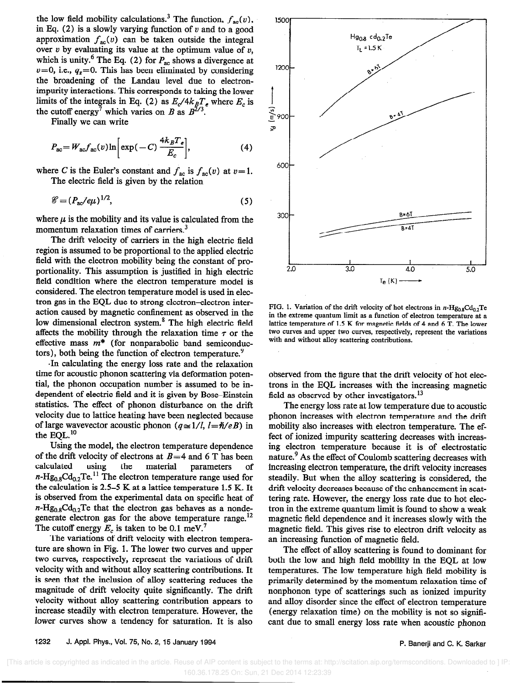the low field mobility calculations.<sup>3</sup> The function,  $f_{ac}(v)$ , in Eq. (2) is a slowly varying function of  $v$  and to a good approximation  $f_{ac}(v)$  can be taken outside the integral over  $v$  by evaluating its value at the optimum value of  $v$ , which is unity.<sup>6</sup> The Eq. (2) for  $P_{ac}$  shows a divergence at  $v=0$ , i.e.,  $q_z=0$ . This has been eliminated by considering the broadening of the Landau level due to electronimpurity interactions. This corresponds to taking the lower limits of the integrals in Eq. (2) as  $E_c/4k_BT_e$  where  $E_c$  is the cutoff energy<sup>7</sup> which varies on B as  $B^{2/3}$ .

Finally we can write

$$
P_{\rm ac} = W_{\rm ac} f_{\rm ac}(\nu) \ln \left[ \exp(-C) \, \frac{4k_B T_e}{E_c} \right],\tag{4}
$$

where C is the Euler's constant and  $f_{ac}$  is  $f_{ac}(v)$  at  $v=1$ . The electric field is given by the relation

$$
\mathscr{C} = (P_{\rm ac}/e\mu)^{1/2},\tag{5}
$$

where  $\mu$  is the mobility and its value is calculated from the momentum relaxation times of carriers.<sup>3</sup>

The drift velocity of carriers in the high electric field region is assumed to be proportional to the applied electric field with the electron mobility being the constant of proportionality. This assumption is justified in high electric field condition where the electron temperature model is considered. The electron temperature model is used in electron gas in the EQL due to strong electron-electron interaction caused by magnetic confinement as observed in the low dimensional electron system.<sup>8</sup> The high electric field affects the mobility through the relaxation time  $\tau$  or the effective mass  $m^*$  (for nonparabolic band semiconductors), both being the function of electron temperature.'

'In calculating the energy loss rate and the relaxation time for acoustic phonon scattering via deformation potential, the phonon occupation number is assumed to be independent of electric field and it is given by Bose-Einstein statistics. The effect of phonon disturbance on the drift velocity due to lattice heating have been neglected because of large wavevector acoustic phonon  $(q \approx 1/l, l = \hbar/eB)$  in the EQL.<sup>10</sup>

Using the model, the electron temperature dependence of the drift velocity of electrons at  $B=4$  and 6 T has been calculated using the material parameters of calculated using the material parameters of  $n-\text{Hg}_{0.8}\text{Cd}_{0.2}\text{Te.}$  The electron temperature range used for the calculation is 2.5-5 K at a lattice temperature 1.5 K. It is observed from the experimental data on specific heat of  $n-\text{Hg}_{0.8}\text{Cd}_{0.2}\text{Te}$  that the electron gas behaves as a nondegenerate electron gas for the above temperature range.<sup>12</sup> The cutoff energy  $E_c$  is taken to be 0.1 meV.<sup>7</sup>

The variations of drift velocity with electron temperature are shown in Fig. 1. The lower two curves and upper two curves, respectively, represent the variations of drift velocity with and without alloy scattering contributions. It is seen that the inclusion of alloy scattering reduces the magnitude of drift velocity quite significantly. The drift velocity without alloy scattering contribution appears to increase steadily with electron temperature. However, the lower curves show a tendency for saturation. It is also



FIG. 1. Variation of the drift velocity of hot electrons in  $n$ -Hg<sub>0.8</sub>Cd<sub>0.2</sub>Te in the extreme quantum limit as a function of electron temperature at a lattice temperature of 1.5 K for magnetic fields of 4 and 6 T. The lower two curves and upper two curves, respectively, represent the variations with and without alloy scattering contributions.

observed from the figure that the drift velocity of hot electrons in the EQL increases with the increasing magnetic field as observed by other investigators.<sup>13</sup>

The energy loss rate at low temperature due to acoustic phonon increases with electron temperature and the drift mobility also increases with electron temperature. The effect of ionized impurity scattering decreases with increasing electron temperature because it is of electrostatic nature.<sup>9</sup> As the effect of Coulomb scattering decreases with increasing electron temperature, the drift velocity increases steadily. But when the alloy scattering is considered, the drift velocity decreases because of the enhancement in scattering rate. However, the energy loss rate due to hot electron in the extreme quantum limit is found to show a weak magnetic field dependence and it increases slowly with the magnetic field. This gives rise to electron drift velocity as an increasing function of magnetic field.

The effect of alloy scattering is found to dominant for both the low and high field mobility in the EQL at low temperatures. The low temperature high field mobility is primarily determined by the momentum relaxation time of nonphonon type of scatterings such as ionized impurity and alloy disorder since the effect of electron temperature (energy relaxation time) on the mobility is not so significant due to small energy loss rate when acoustic phonon